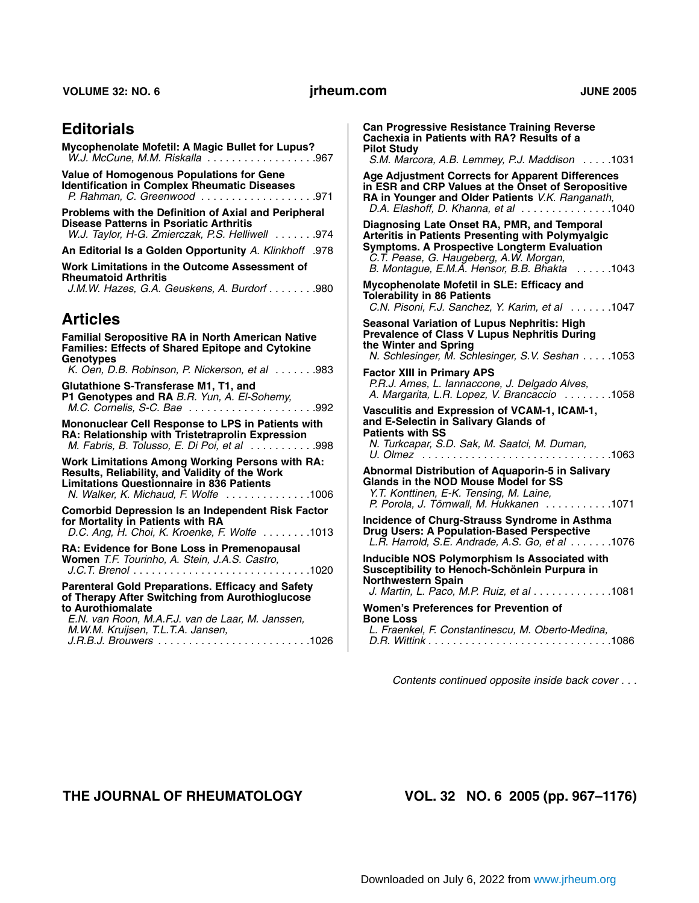#### **VOLUME 32: NO. 6 JUNE 2005**

## **Editorials**

| Mycophenolate Mofetil: A Magic Bullet for Lupus?                                                                                                                                                     |
|------------------------------------------------------------------------------------------------------------------------------------------------------------------------------------------------------|
| Value of Homogenous Populations for Gene<br><b>Identification in Complex Rheumatic Diseases</b><br>P. Rahman, C. Greenwood 971                                                                       |
| Problems with the Definition of Axial and Peripheral<br><b>Disease Patterns in Psoriatic Arthritis</b><br>W.J. Taylor, H-G. Zmierczak, P.S. Helliwell 974                                            |
| An Editorial Is a Golden Opportunity A. Klinkhoff .978                                                                                                                                               |
| Work Limitations in the Outcome Assessment of<br><b>Rheumatoid Arthritis</b><br>J.M.W. Hazes, G.A. Geuskens, A. Burdorf 980                                                                          |
| <b>Articles</b>                                                                                                                                                                                      |
| <b>Familial Seropositive RA in North American Native</b><br><b>Families: Effects of Shared Epitope and Cytokine</b><br><b>Genotypes</b><br>K. Oen, D.B. Robinson, P. Nickerson, et al 983            |
| Glutathione S-Transferase M1, T1, and<br>P1 Genotypes and RA B.R. Yun, A. El-Sohemy,                                                                                                                 |
| Mononuclear Cell Response to LPS in Patients with<br>RA: Relationship with Tristetraprolin Expression<br>M. Fabris, B. Tolusso, E. Di Poi, et al 998                                                 |
| <b>Work Limitations Among Working Persons with RA:</b><br>Results, Reliability, and Validity of the Work<br><b>Limitations Questionnaire in 836 Patients</b><br>N. Walker, K. Michaud, F. Wolfe 1006 |
| <b>Comorbid Depression Is an Independent Risk Factor</b><br>for Mortality in Patients with RA<br>D.C. Ang, H. Choi, K. Kroenke, F. Wolfe $\dots \dots \dots 1013$                                    |

**RA: Evidence for Bone Loss in Premenopausal Women** *T.F. Tourinho, A. Stein, J.A.S. Castro, J.C.T. Brenol* . . . . . . . . . . . . . . . . . . . . . . . . . . . . .1020

**Parenteral Gold Preparations. Efficacy and Safety of Therapy After Switching from Aurothioglucose to Aurothiomalate**  *E.N. van Roon, M.A.F.J. van de Laar, M. Janssen,* 

*M.W.M. Kruijsen, T.L.T.A. Jansen, J.R.B.J. Brouwers* . . . . . . . . . . . . . . . . . . . . . . . . .1026

**Can Progressive Resistance Training Reverse Cachexia in Patients with RA? Results of a Pilot Study**  *S.M. Marcora, A.B. Lemmey, P.J. Maddison* . . . . .1031 **Age Adjustment Corrects for Apparent Differences in ESR and CRP Values at the Onset of Seropositive RA in Younger and Older Patients** *V.K. Ranganath, D.A. Elashoff, D. Khanna, et al* . . . . . . . . . . . . . . .1040 **Diagnosing Late Onset RA, PMR, and Temporal Arteritis in Patients Presenting with Polymyalgic Symptoms. A Prospective Longterm Evaluation**  *C.T. Pease, G. Haugeberg, A.W. Morgan, B. Montague, E.M.A. Hensor, B.B. Bhakta* . . . . . .1043 **Mycophenolate Mofetil in SLE: Efficacy and Tolerability in 86 Patients**  *C.N. Pisoni, F.J. Sanchez, Y. Karim, et al* . . . . . . .1047 **Seasonal Variation of Lupus Nephritis: High Prevalence of Class V Lupus Nephritis During the Winter and Spring**  *N. Schlesinger, M. Schlesinger, S.V. Seshan* . . . . .1053 **Factor XIII in Primary APS**  *P.R.J. Ames, L. Iannaccone, J. Delgado Alves, A. Margarita, L.R. Lopez, V. Brancaccio* . . . . . . . .1058 **Vasculitis and Expression of VCAM-1, ICAM-1, and E-Selectin in Salivary Glands of Patients with SS**  *N. Turkcapar, S.D. Sak, M. Saatci, M. Duman, U. Olmez* . . . . . . . . . . . . . . . . . . . . . . . . . . . . . . .1063 **Abnormal Distribution of Aquaporin-5 in Salivary Glands in the NOD Mouse Model for SS**  *Y.T. Konttinen, E-K. Tensing, M. Laine, P. Porola, J. Törnwall, M. Hukkanen* . . . . . . . . . . .1071 **Incidence of Churg-Strauss Syndrome in Asthma Drug Users: A Population-Based Perspective**  *L.R. Harrold, S.E. Andrade, A.S. Go, et al* . . . . . . .1076 **Inducible NOS Polymorphism Is Associated with Susceptibility to Henoch-Schönlein Purpura in Northwestern Spain**  *J. Martin, L. Paco, M.P. Ruiz, et al* . . . . . . . . . . . . .1081

**Women's Preferences for Prevention of Bone Loss**  *L. Fraenkel, F. Constantinescu, M. Oberto-Medina, D.R. Wittink* . . . . . . . . . . . . . . . . . . . . . . . . . . . . . .1086

*Contents continued opposite inside back cover . . .* 

**THE JOURNAL OF RHEUMATOLOGY VOL. 32 NO. 6 2005 (pp. 967–1176)**